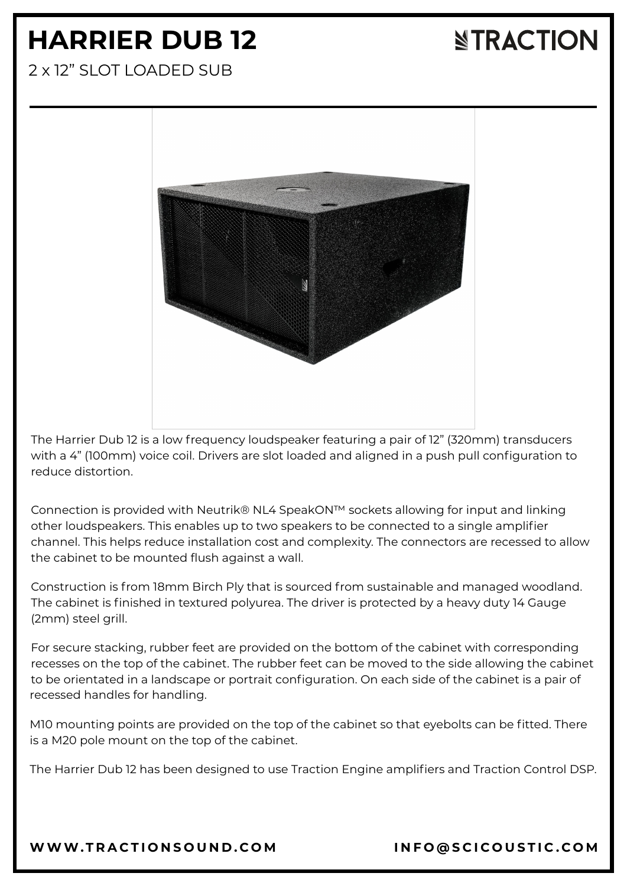# **HARRIER DUB 12**

# **NTRACTION**

2 x 12" SLOT LOADED SUB



The Harrier Dub 12 is a low frequency loudspeaker featuring a pair of 12" (320mm) transducers with a 4" (100mm) voice coil. Drivers are slot loaded and aligned in a push pull configuration to reduce distortion.

Connection is provided with Neutrik® NL4 SpeakON™ sockets allowing for input and linking other loudspeakers. This enables up to two speakers to be connected to a single amplifier channel. This helps reduce installation cost and complexity. The connectors are recessed to allow the cabinet to be mounted flush against a wall.

Construction is from 18mm Birch Ply that is sourced from sustainable and managed woodland. The cabinet is finished in textured polyurea. The driver is protected by a heavy duty 14 Gauge (2mm) steel grill.

For secure stacking, rubber feet are provided on the bottom of the cabinet with corresponding recesses on the top of the cabinet. The rubber feet can be moved to the side allowing the cabinet to be orientated in a landscape or portrait configuration. On each side of the cabinet is a pair of recessed handles for handling.

M10 mounting points are provided on the top of the cabinet so that eyebolts can be fitted. There is a M20 pole mount on the top of the cabinet.

The Harrier Dub 12 has been designed to use Traction Engine amplifiers and Traction Control DSP.

[WWW.T](https://www.tractionsound.com/)RACTIONSOUND.COM INFO[@](mailto:info@scicoustic.com)SCICOUSTIC.COM